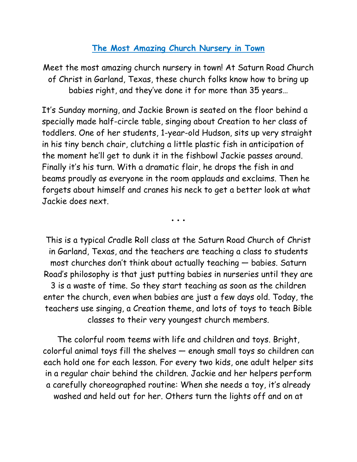## **The Most Amazing Church Nursery in Town**

Meet the most amazing church nursery in town! At Saturn Road Church of Christ in Garland, Texas, these church folks know how to bring up babies right, and they've done it for more than 35 years…

It's Sunday morning, and Jackie Brown is seated on the floor behind a specially made half-circle table, singing about Creation to her class of toddlers. One of her students, 1-year-old Hudson, sits up very straight in his tiny bench chair, clutching a little plastic fish in anticipation of the moment he'll get to dunk it in the fishbowl Jackie passes around. Finally it's his turn. With a dramatic flair, he drops the fish in and beams proudly as everyone in the room applauds and exclaims. Then he forgets about himself and cranes his neck to get a better look at what Jackie does next.

• • •

This is a typical Cradle Roll class at the Saturn Road Church of Christ in Garland, Texas, and the teachers are teaching a class to students most churches don't think about actually teaching — babies. Saturn Road's philosophy is that just putting babies in nurseries until they are 3 is a waste of time. So they start teaching as soon as the children enter the church, even when babies are just a few days old. Today, the teachers use singing, a Creation theme, and lots of toys to teach Bible classes to their very youngest church members.

The colorful room teems with life and children and toys. Bright, colorful animal toys fill the shelves — enough small toys so children can each hold one for each lesson. For every two kids, one adult helper sits in a regular chair behind the children. Jackie and her helpers perform a carefully choreographed routine: When she needs a toy, it's already washed and held out for her. Others turn the lights off and on at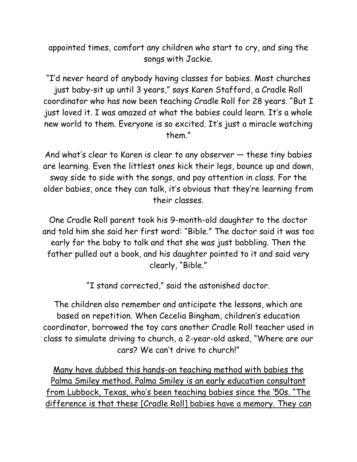appointed times, comfort any children who start to cry, and sing the songs with Jackie.

"I'd never heard of anybody having classes for babies. Most churches just baby-sit up until 3 years," says Karen Stafford, a Cradle Roll coordinator who has now been teaching Cradle Roll for 28 years. "But I just loved it. I was amazed at what the babies could learn. It's a whole new world to them. Everyone is so excited. It's just a miracle watching them."

And what's clear to Karen is clear to any observer — these tiny babies are learning. Even the littlest ones kick their legs, bounce up and down, sway side to side with the songs, and pay attention in class. For the older babies, once they can talk, it's obvious that they're learning from their classes.

One Cradle Roll parent took his 9-month-old daughter to the doctor and told him she said her first word: "Bible." The doctor said it was too early for the baby to talk and that she was just babbling. Then the father pulled out a book, and his daughter pointed to it and said very clearly, "Bible."

"I stand corrected," said the astonished doctor.

The children also remember and anticipate the lessons, which are based on repetition. When Cecelia Bingham, children's education coordinator, borrowed the toy cars another Cradle Roll teacher used in class to simulate driving to church, a 2-year-old asked, "Where are our cars? We can't drive to church!"

Many have dubbed this hands-on teaching method with babies the Palma Smiley method. Palma Smiley is an early education consultant from Lubbock, Texas, who's been teaching babies since the '50s. "The difference is that these [Cradle Roll] babies have a memory. They can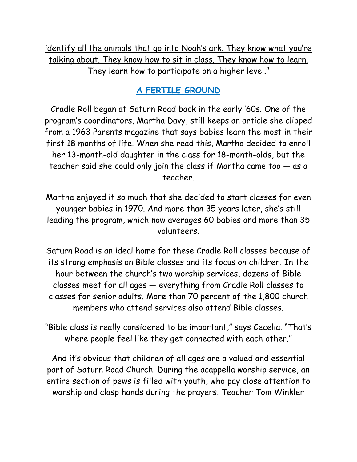identify all the animals that go into Noah's ark. They know what you're talking about. They know how to sit in class. They know how to learn. They learn how to participate on a higher level."

# **A FERTILE GROUND**

Cradle Roll began at Saturn Road back in the early '60s. One of the program's coordinators, Martha Davy, still keeps an article she clipped from a 1963 Parents magazine that says babies learn the most in their first 18 months of life. When she read this, Martha decided to enroll her 13-month-old daughter in the class for 18-month-olds, but the teacher said she could only join the class if Martha came too — as a teacher.

Martha enjoyed it so much that she decided to start classes for even younger babies in 1970. And more than 35 years later, she's still leading the program, which now averages 60 babies and more than 35 volunteers.

Saturn Road is an ideal home for these Cradle Roll classes because of its strong emphasis on Bible classes and its focus on children. In the hour between the church's two worship services, dozens of Bible classes meet for all ages — everything from Cradle Roll classes to classes for senior adults. More than 70 percent of the 1,800 church members who attend services also attend Bible classes.

"Bible class is really considered to be important," says Cecelia. "That's where people feel like they get connected with each other."

And it's obvious that children of all ages are a valued and essential part of Saturn Road Church. During the acappella worship service, an entire section of pews is filled with youth, who pay close attention to worship and clasp hands during the prayers. Teacher Tom Winkler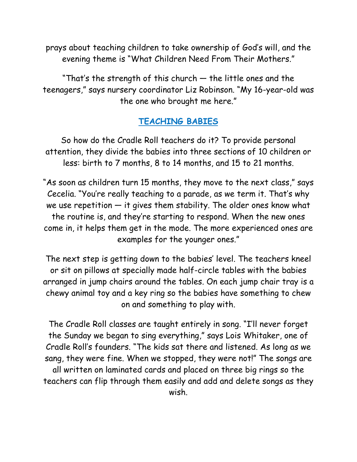prays about teaching children to take ownership of God's will, and the evening theme is "What Children Need From Their Mothers."

"That's the strength of this church — the little ones and the teenagers," says nursery coordinator Liz Robinson. "My 16-year-old was the one who brought me here."

## **TEACHING BABIES**

So how do the Cradle Roll teachers do it? To provide personal attention, they divide the babies into three sections of 10 children or less: birth to 7 months, 8 to 14 months, and 15 to 21 months.

"As soon as children turn 15 months, they move to the next class," says Cecelia. "You're really teaching to a parade, as we term it. That's why we use repetition — it gives them stability. The older ones know what the routine is, and they're starting to respond. When the new ones come in, it helps them get in the mode. The more experienced ones are examples for the younger ones."

The next step is getting down to the babies' level. The teachers kneel or sit on pillows at specially made half-circle tables with the babies arranged in jump chairs around the tables. On each jump chair tray is a chewy animal toy and a key ring so the babies have something to chew on and something to play with.

The Cradle Roll classes are taught entirely in song. "I'll never forget the Sunday we began to sing everything," says Lois Whitaker, one of Cradle Roll's founders. "The kids sat there and listened. As long as we sang, they were fine. When we stopped, they were not!" The songs are all written on laminated cards and placed on three big rings so the teachers can flip through them easily and add and delete songs as they wish.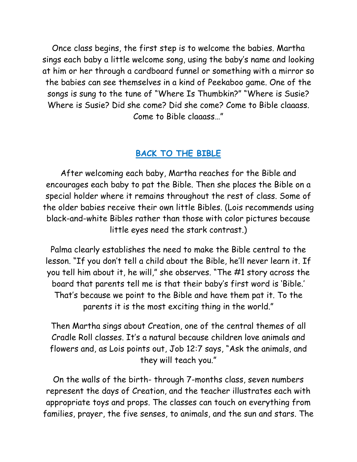Once class begins, the first step is to welcome the babies. Martha sings each baby a little welcome song, using the baby's name and looking at him or her through a cardboard funnel or something with a mirror so the babies can see themselves in a kind of Peekaboo game. One of the songs is sung to the tune of "Where Is Thumbkin?" "Where is Susie? Where is Susie? Did she come? Did she come? Come to Bible claaass. Come to Bible claaass…"

## **BACK TO THE BIBLE**

After welcoming each baby, Martha reaches for the Bible and encourages each baby to pat the Bible. Then she places the Bible on a special holder where it remains throughout the rest of class. Some of the older babies receive their own little Bibles. (Lois recommends using black-and-white Bibles rather than those with color pictures because little eyes need the stark contrast.)

Palma clearly establishes the need to make the Bible central to the lesson. "If you don't tell a child about the Bible, he'll never learn it. If you tell him about it, he will," she observes. "The #1 story across the board that parents tell me is that their baby's first word is 'Bible.' That's because we point to the Bible and have them pat it. To the parents it is the most exciting thing in the world."

Then Martha sings about Creation, one of the central themes of all Cradle Roll classes. It's a natural because children love animals and flowers and, as Lois points out, Job 12:7 says, "Ask the animals, and they will teach you."

On the walls of the birth- through 7-months class, seven numbers represent the days of Creation, and the teacher illustrates each with appropriate toys and props. The classes can touch on everything from families, prayer, the five senses, to animals, and the sun and stars. The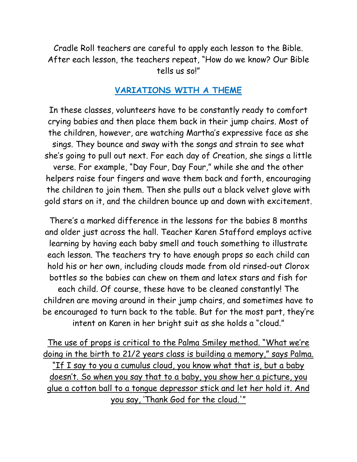Cradle Roll teachers are careful to apply each lesson to the Bible. After each lesson, the teachers repeat, "How do we know? Our Bible tells us so!"

### **VARIATIONS WITH A THEME**

In these classes, volunteers have to be constantly ready to comfort crying babies and then place them back in their jump chairs. Most of the children, however, are watching Martha's expressive face as she sings. They bounce and sway with the songs and strain to see what she's going to pull out next. For each day of Creation, she sings a little verse. For example, "Day Four, Day Four," while she and the other helpers raise four fingers and wave them back and forth, encouraging the children to join them. Then she pulls out a black velvet glove with gold stars on it, and the children bounce up and down with excitement.

There's a marked difference in the lessons for the babies 8 months and older just across the hall. Teacher Karen Stafford employs active learning by having each baby smell and touch something to illustrate each lesson. The teachers try to have enough props so each child can hold his or her own, including clouds made from old rinsed-out Clorox bottles so the babies can chew on them and latex stars and fish for each child. Of course, these have to be cleaned constantly! The children are moving around in their jump chairs, and sometimes have to be encouraged to turn back to the table. But for the most part, they're intent on Karen in her bright suit as she holds a "cloud."

The use of props is critical to the Palma Smiley method. "What we're doing in the birth to 21/2 years class is building a memory," says Palma. "If I say to you a cumulus cloud, you know what that is, but a baby doesn't. So when you say that to a baby, you show her a picture, you glue a cotton ball to a tongue depressor stick and let her hold it. And you say, 'Thank God for the cloud.'"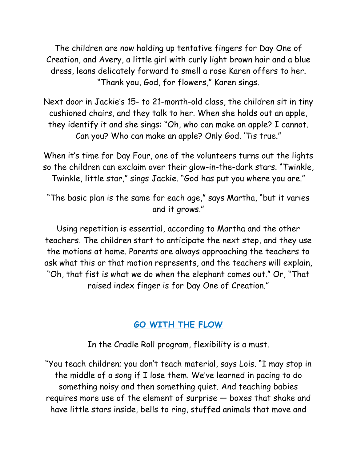The children are now holding up tentative fingers for Day One of Creation, and Avery, a little girl with curly light brown hair and a blue dress, leans delicately forward to smell a rose Karen offers to her. "Thank you, God, for flowers," Karen sings.

Next door in Jackie's 15- to 21-month-old class, the children sit in tiny cushioned chairs, and they talk to her. When she holds out an apple, they identify it and she sings: "Oh, who can make an apple? I cannot. Can you? Who can make an apple? Only God. 'Tis true."

When it's time for Day Four, one of the volunteers turns out the lights so the children can exclaim over their glow-in-the-dark stars. "Twinkle, Twinkle, little star," sings Jackie. "God has put you where you are."

"The basic plan is the same for each age," says Martha, "but it varies and it grows."

Using repetition is essential, according to Martha and the other teachers. The children start to anticipate the next step, and they use the motions at home. Parents are always approaching the teachers to ask what this or that motion represents, and the teachers will explain, "Oh, that fist is what we do when the elephant comes out." Or, "That raised index finger is for Day One of Creation."

## **GO WITH THE FLOW**

In the Cradle Roll program, flexibility is a must.

"You teach children; you don't teach material, says Lois. "I may stop in the middle of a song if I lose them. We've learned in pacing to do something noisy and then something quiet. And teaching babies requires more use of the element of surprise — boxes that shake and have little stars inside, bells to ring, stuffed animals that move and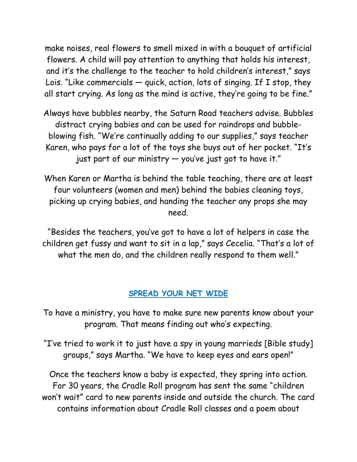make noises, real flowers to smell mixed in with a bouquet of artificial flowers. A child will pay attention to anything that holds his interest, and it's the challenge to the teacher to hold children's interest," says Lois. "Like commercials  $-$  quick, action, lots of singing. If I stop, they all start crying. As long as the mind is active, they're going to be fine."

Always have bubbles nearby, the Saturn Road teachers advise. Bubbles distract crying babies and can be used for raindrops and bubbleblowing fish. "We're continually adding to our supplies," says teacher Karen, who pays for a lot of the toys she buys out of her pocket. "It's just part of our ministry — you've just got to have it."

When Karen or Martha is behind the table teaching, there are at least four volunteers (women and men) behind the babies cleaning toys, picking up crying babies, and handing the teacher any props she may need.

"Besides the teachers, you've got to have a lot of helpers in case the children get fussy and want to sit in a lap," says Cecelia. "That's a lot of what the men do, and the children really respond to them well."

#### **SPREAD YOUR NET WIDE**

To have a ministry, you have to make sure new parents know about your program. That means finding out who's expecting.

"I've tried to work it to just have a spy in young marrieds [Bible study] groups," says Martha. "We have to keep eyes and ears open!"

Once the teachers know a baby is expected, they spring into action. For 30 years, the Cradle Roll program has sent the same "children won't wait" card to new parents inside and outside the church. The card contains information about Cradle Roll classes and a poem about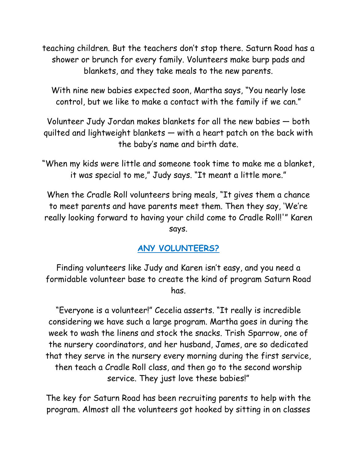teaching children. But the teachers don't stop there. Saturn Road has a shower or brunch for every family. Volunteers make burp pads and blankets, and they take meals to the new parents.

With nine new babies expected soon, Martha says, "You nearly lose control, but we like to make a contact with the family if we can."

Volunteer Judy Jordan makes blankets for all the new babies — both quilted and lightweight blankets — with a heart patch on the back with the baby's name and birth date.

"When my kids were little and someone took time to make me a blanket, it was special to me," Judy says. "It meant a little more."

When the Cradle Roll volunteers bring meals, "It gives them a chance to meet parents and have parents meet them. Then they say, 'We're really looking forward to having your child come to Cradle Roll!'" Karen says.

## **ANY VOLUNTEERS?**

Finding volunteers like Judy and Karen isn't easy, and you need a formidable volunteer base to create the kind of program Saturn Road has.

"Everyone is a volunteer!" Cecelia asserts. "It really is incredible considering we have such a large program. Martha goes in during the week to wash the linens and stock the snacks. Trish Sparrow, one of the nursery coordinators, and her husband, James, are so dedicated that they serve in the nursery every morning during the first service, then teach a Cradle Roll class, and then go to the second worship service. They just love these babies!"

The key for Saturn Road has been recruiting parents to help with the program. Almost all the volunteers got hooked by sitting in on classes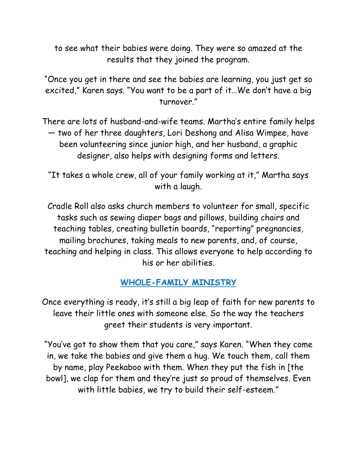to see what their babies were doing. They were so amazed at the results that they joined the program.

"Once you get in there and see the babies are learning, you just get so excited," Karen says. "You want to be a part of it…We don't have a big turnover."

There are lots of husband-and-wife teams. Martha's entire family helps — two of her three daughters, Lori Deshong and Alisa Wimpee, have been volunteering since junior high, and her husband, a graphic designer, also helps with designing forms and letters.

"It takes a whole crew, all of your family working at it," Martha says with a laugh.

Cradle Roll also asks church members to volunteer for small, specific tasks such as sewing diaper bags and pillows, building chairs and teaching tables, creating bulletin boards, "reporting" pregnancies, mailing brochures, taking meals to new parents, and, of course, teaching and helping in class. This allows everyone to help according to his or her abilities.

## **WHOLE-FAMILY MINISTRY**

Once everything is ready, it's still a big leap of faith for new parents to leave their little ones with someone else. So the way the teachers greet their students is very important.

"You've got to show them that you care," says Karen. "When they come in, we take the babies and give them a hug. We touch them, call them by name, play Peekaboo with them. When they put the fish in [the bowl], we clap for them and they're just so proud of themselves. Even with little babies, we try to build their self-esteem."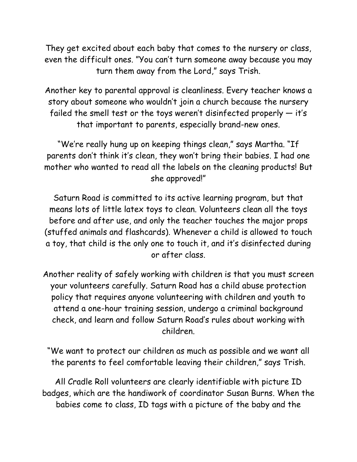They get excited about each baby that comes to the nursery or class, even the difficult ones. "You can't turn someone away because you may turn them away from the Lord," says Trish.

Another key to parental approval is cleanliness. Every teacher knows a story about someone who wouldn't join a church because the nursery failed the smell test or the toys weren't disinfected properly — it's that important to parents, especially brand-new ones.

"We're really hung up on keeping things clean," says Martha. "If parents don't think it's clean, they won't bring their babies. I had one mother who wanted to read all the labels on the cleaning products! But she approved!"

Saturn Road is committed to its active learning program, but that means lots of little latex toys to clean. Volunteers clean all the toys before and after use, and only the teacher touches the major props (stuffed animals and flashcards). Whenever a child is allowed to touch a toy, that child is the only one to touch it, and it's disinfected during or after class.

Another reality of safely working with children is that you must screen your volunteers carefully. Saturn Road has a child abuse protection policy that requires anyone volunteering with children and youth to attend a one-hour training session, undergo a criminal background check, and learn and follow Saturn Road's rules about working with children.

"We want to protect our children as much as possible and we want all the parents to feel comfortable leaving their children," says Trish.

All Cradle Roll volunteers are clearly identifiable with picture ID badges, which are the handiwork of coordinator Susan Burns. When the babies come to class, ID tags with a picture of the baby and the